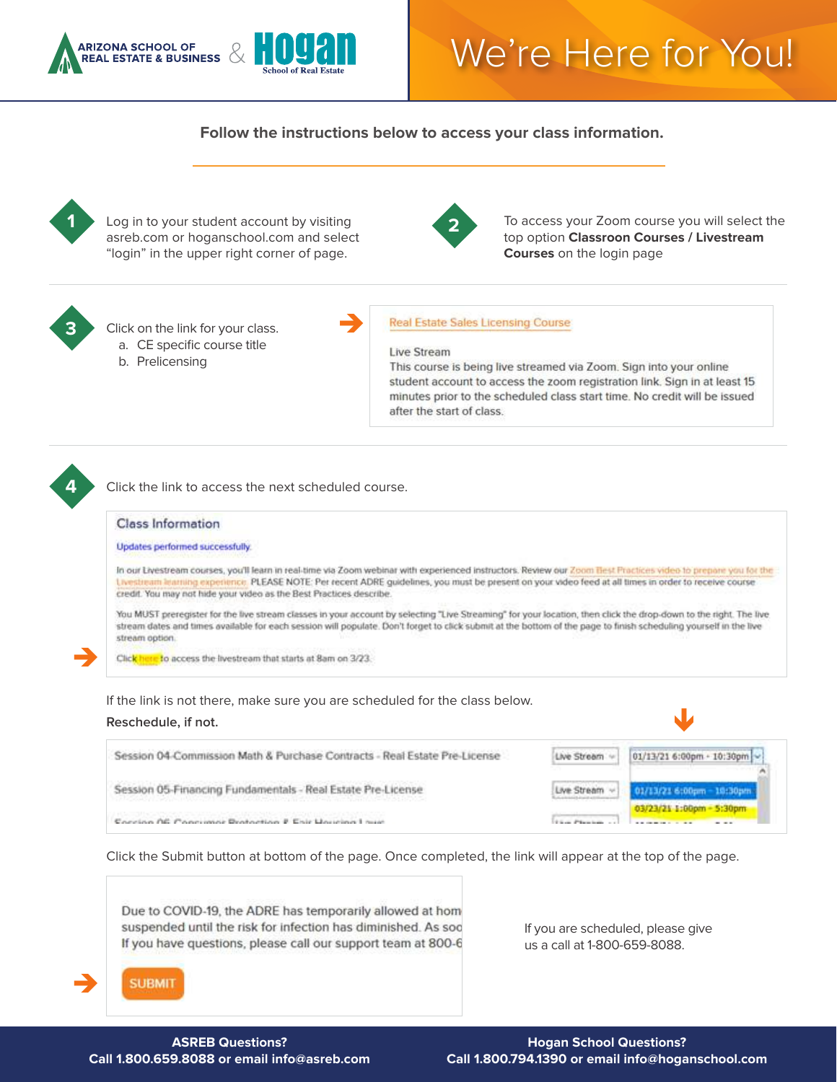

## We're Here for You!

**Follow the instructions below to access your class information.**



Log in to your student account by visiting asreb.com or hoganschool.com and select "login" in the upper right corner of page.



**2** To access your Zoom course you will select the top option **Classroon Courses / Livestream Courses** on the login page



Click on the link for your class. a. CE specific course title

b. Prelicensing

## **Real Estate Sales Licensing Course**

## **Live Stream**

 $\rightarrow$ 

This course is being live streamed via Zoom. Sign into your online student account to access the zoom registration link. Sign in at least 15 minutes prior to the scheduled class start time. No credit will be issued after the start of class.



 $\rightarrow$ 

Click the link to access the next scheduled course.

## **Class Information**

Updates performed successfully.

In our Livestream courses, you'll learn in real-time via Zoom webinar with experienced instructors. Review our Zoom Best Practices video to prepare you for the Livestream learning experience. PLEASE NOTE: Per recent ADRE guidelines, you must be present on your video feed at all times in order to receive course credit. You may not hide your video as the Best Practices describe.

You MUST preregister for the live stream classes in your account by selecting "Live Streaming" for your location, then click the drop-down to the right. The live stream dates and times available for each session will populate. Don't forget to click submit at the bottom of the page to finish scheduling yourself in the live stream option.

Click here to access the livestream that starts at 8am on 3/23.

If the link is not there, make sure you are scheduled for the class below.





Click the Submit button at bottom of the page. Once completed, the link will appear at the top of the page.

Due to COVID-19, the ADRE has temporarily allowed at hom suspended until the risk for infection has diminished. As soo If you have questions, please call our support team at 800-6

If you are scheduled, please give us a call at 1-800-659-8088.



**ASREB Questions? Call 1.800.659.8088 or email info@asreb.com**